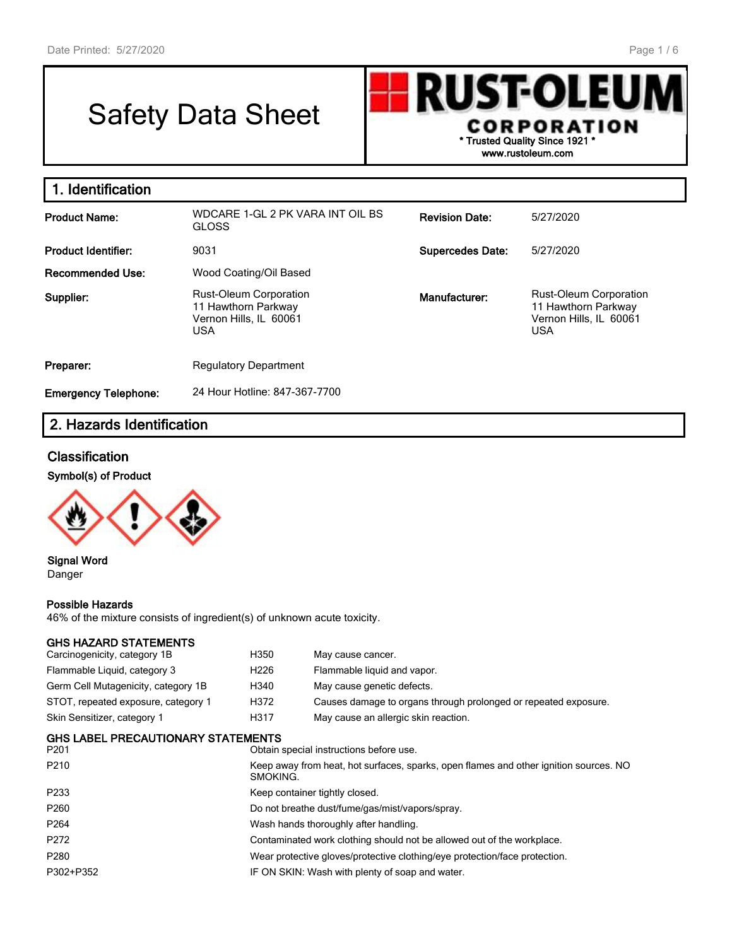Г

# Safety Data Sheet



| 1. Identification           |                                                                                              |                         |                                                                                              |
|-----------------------------|----------------------------------------------------------------------------------------------|-------------------------|----------------------------------------------------------------------------------------------|
| <b>Product Name:</b>        | WDCARE 1-GL 2 PK VARA INT OIL BS<br><b>GLOSS</b>                                             | <b>Revision Date:</b>   | 5/27/2020                                                                                    |
| <b>Product Identifier:</b>  | 9031                                                                                         | <b>Supercedes Date:</b> | 5/27/2020                                                                                    |
| Recommended Use:            | Wood Coating/Oil Based                                                                       |                         |                                                                                              |
| Supplier:                   | <b>Rust-Oleum Corporation</b><br>11 Hawthorn Parkway<br>Vernon Hills, IL 60061<br><b>USA</b> | Manufacturer:           | <b>Rust-Oleum Corporation</b><br>11 Hawthorn Parkway<br>Vernon Hills, IL 60061<br><b>USA</b> |
| Preparer:                   | <b>Regulatory Department</b>                                                                 |                         |                                                                                              |
| <b>Emergency Telephone:</b> | 24 Hour Hotline: 847-367-7700                                                                |                         |                                                                                              |

## **2. Hazards Identification**

## **Classification**

#### **Symbol(s) of Product**



**Signal Word** Danger

#### **Possible Hazards**

46% of the mixture consists of ingredient(s) of unknown acute toxicity.

#### **GHS HAZARD STATEMENTS**

| Carcinogenicity, category 1B               | H350             | May cause cancer.                                                                                 |  |  |  |
|--------------------------------------------|------------------|---------------------------------------------------------------------------------------------------|--|--|--|
| Flammable Liquid, category 3               | H <sub>226</sub> | Flammable liquid and vapor.                                                                       |  |  |  |
| Germ Cell Mutagenicity, category 1B        | H340             | May cause genetic defects.                                                                        |  |  |  |
| STOT, repeated exposure, category 1        | H372             | Causes damage to organs through prolonged or repeated exposure.                                   |  |  |  |
| Skin Sensitizer, category 1                | H317             | May cause an allergic skin reaction.                                                              |  |  |  |
| GHS LABEL PRECAUTIONARY STATEMENTS<br>P201 |                  | Obtain special instructions before use.                                                           |  |  |  |
| P210                                       |                  | Keep away from heat, hot surfaces, sparks, open flames and other ignition sources. NO<br>SMOKING. |  |  |  |
| P233                                       |                  | Keep container tightly closed.                                                                    |  |  |  |
| P260                                       |                  | Do not breathe dust/fume/gas/mist/vapors/spray.                                                   |  |  |  |
| P264                                       |                  | Wash hands thoroughly after handling.                                                             |  |  |  |
| P272                                       |                  | Contaminated work clothing should not be allowed out of the workplace.                            |  |  |  |
| P280                                       |                  | Wear protective gloves/protective clothing/eye protection/face protection.                        |  |  |  |
| P302+P352                                  |                  | IF ON SKIN: Wash with plenty of soap and water.                                                   |  |  |  |
|                                            |                  |                                                                                                   |  |  |  |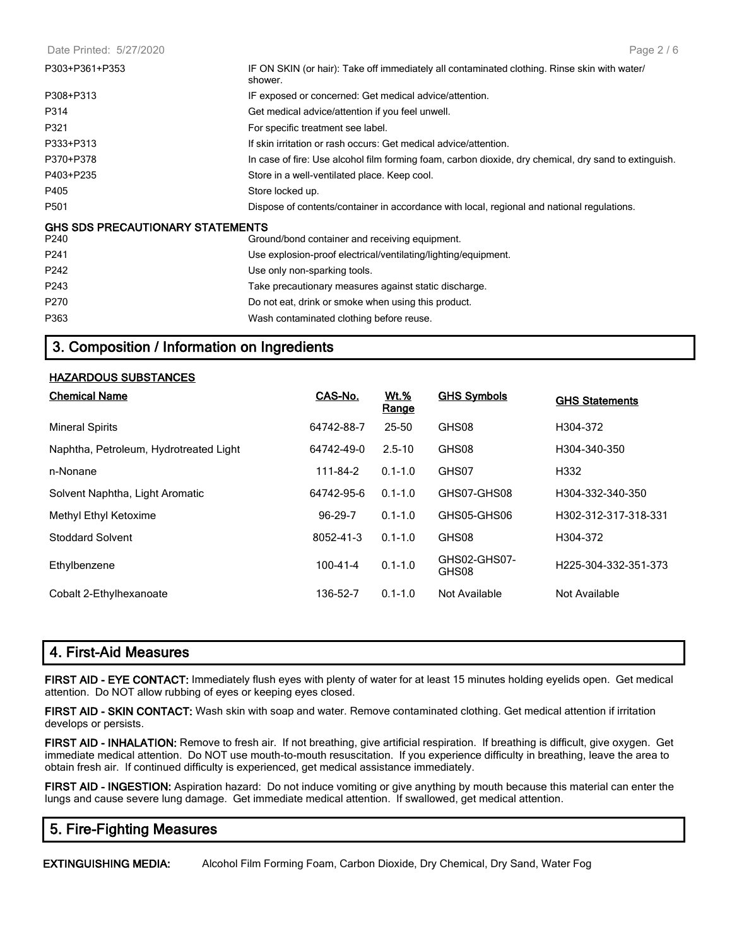Date Printed: 5/27/2020

| P303+P361+P353                          | IF ON SKIN (or hair): Take off immediately all contaminated clothing. Rinse skin with water/<br>shower. |
|-----------------------------------------|---------------------------------------------------------------------------------------------------------|
| P308+P313                               | IF exposed or concerned: Get medical advice/attention.                                                  |
| P314                                    | Get medical advice/attention if you feel unwell.                                                        |
| P321                                    | For specific treatment see label.                                                                       |
| P333+P313                               | If skin irritation or rash occurs: Get medical advice/attention.                                        |
| P370+P378                               | In case of fire: Use alcohol film forming foam, carbon dioxide, dry chemical, dry sand to extinguish.   |
| P403+P235                               | Store in a well-ventilated place. Keep cool.                                                            |
| P405                                    | Store locked up.                                                                                        |
| P501                                    | Dispose of contents/container in accordance with local, regional and national regulations.              |
| <b>GHS SDS PRECAUTIONARY STATEMENTS</b> |                                                                                                         |
| P240                                    | Ground/bond container and receiving equipment.                                                          |
| P <sub>241</sub>                        | Use explosion-proof electrical/ventilating/lighting/equipment.                                          |
| P242                                    | Use only non-sparking tools.                                                                            |
| P243                                    | Take precautionary measures against static discharge.                                                   |
| P <sub>270</sub>                        | Do not eat, drink or smoke when using this product.                                                     |
| P363                                    | Wash contaminated clothing before reuse.                                                                |

## **3. Composition / Information on Ingredients**

#### **HAZARDOUS SUBSTANCES**

| <b>Chemical Name</b>                   | CAS-No.        | <b>Wt.%</b><br><u>Range</u> | <b>GHS Symbols</b>    | <b>GHS Statements</b> |
|----------------------------------------|----------------|-----------------------------|-----------------------|-----------------------|
| <b>Mineral Spirits</b>                 | 64742-88-7     | $25 - 50$                   | GHS08                 | H304-372              |
| Naphtha, Petroleum, Hydrotreated Light | 64742-49-0     | $2.5 - 10$                  | GHS08                 | H304-340-350          |
| n-Nonane                               | 111-84-2       | $0.1 - 1.0$                 | GHS07                 | H332                  |
| Solvent Naphtha, Light Aromatic        | 64742-95-6     | $0.1 - 1.0$                 | GHS07-GHS08           | H304-332-340-350      |
| Methyl Ethyl Ketoxime                  | 96-29-7        | $0.1 - 1.0$                 | GHS05-GHS06           | H302-312-317-318-331  |
| Stoddard Solvent                       | 8052-41-3      | $0.1 - 1.0$                 | GHS08                 | H304-372              |
| Ethylbenzene                           | $100 - 41 - 4$ | $0.1 - 1.0$                 | GHS02-GHS07-<br>GHS08 | H225-304-332-351-373  |
| Cobalt 2-Ethylhexanoate                | 136-52-7       | $0.1 - 1.0$                 | Not Available         | Not Available         |

## **4. First-Aid Measures**

**FIRST AID - EYE CONTACT:** Immediately flush eyes with plenty of water for at least 15 minutes holding eyelids open. Get medical attention. Do NOT allow rubbing of eyes or keeping eyes closed.

**FIRST AID - SKIN CONTACT:** Wash skin with soap and water. Remove contaminated clothing. Get medical attention if irritation develops or persists.

**FIRST AID - INHALATION:** Remove to fresh air. If not breathing, give artificial respiration. If breathing is difficult, give oxygen. Get immediate medical attention. Do NOT use mouth-to-mouth resuscitation. If you experience difficulty in breathing, leave the area to obtain fresh air. If continued difficulty is experienced, get medical assistance immediately.

**FIRST AID - INGESTION:** Aspiration hazard: Do not induce vomiting or give anything by mouth because this material can enter the lungs and cause severe lung damage. Get immediate medical attention. If swallowed, get medical attention.

## **5. Fire-Fighting Measures**

**EXTINGUISHING MEDIA:** Alcohol Film Forming Foam, Carbon Dioxide, Dry Chemical, Dry Sand, Water Fog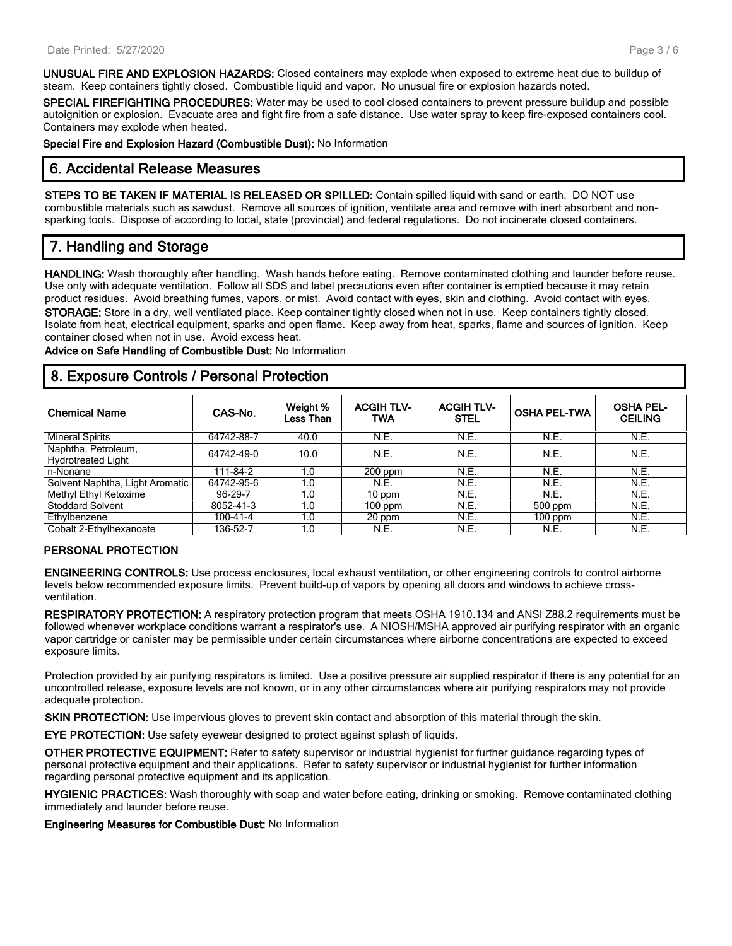**UNUSUAL FIRE AND EXPLOSION HAZARDS:** Closed containers may explode when exposed to extreme heat due to buildup of steam. Keep containers tightly closed. Combustible liquid and vapor. No unusual fire or explosion hazards noted.

**SPECIAL FIREFIGHTING PROCEDURES:** Water may be used to cool closed containers to prevent pressure buildup and possible autoignition or explosion. Evacuate area and fight fire from a safe distance. Use water spray to keep fire-exposed containers cool. Containers may explode when heated.

**Special Fire and Explosion Hazard (Combustible Dust):** No Information

#### **6. Accidental Release Measures**

**STEPS TO BE TAKEN IF MATERIAL IS RELEASED OR SPILLED:** Contain spilled liquid with sand or earth. DO NOT use combustible materials such as sawdust. Remove all sources of ignition, ventilate area and remove with inert absorbent and nonsparking tools. Dispose of according to local, state (provincial) and federal regulations. Do not incinerate closed containers.

## **7. Handling and Storage**

**HANDLING:** Wash thoroughly after handling. Wash hands before eating. Remove contaminated clothing and launder before reuse. Use only with adequate ventilation. Follow all SDS and label precautions even after container is emptied because it may retain product residues. Avoid breathing fumes, vapors, or mist. Avoid contact with eyes, skin and clothing. Avoid contact with eyes. **STORAGE:** Store in a dry, well ventilated place. Keep container tightly closed when not in use. Keep containers tightly closed. Isolate from heat, electrical equipment, sparks and open flame. Keep away from heat, sparks, flame and sources of ignition. Keep container closed when not in use. Avoid excess heat.

**Advice on Safe Handling of Combustible Dust:** No Information

#### **8. Exposure Controls / Personal Protection**

| <b>Chemical Name</b>                             | CAS-No.        | Weight %<br>Less Than | <b>ACGIHTLV-</b><br><b>TWA</b> | <b>ACGIH TLV-</b><br><b>STEL</b> | <b>OSHA PEL-TWA</b> | <b>OSHA PEL-</b><br><b>CEILING</b> |
|--------------------------------------------------|----------------|-----------------------|--------------------------------|----------------------------------|---------------------|------------------------------------|
| <b>Mineral Spirits</b>                           | 64742-88-7     | 40.0                  | N.E.                           | N.E.                             | N.E.                | N.E.                               |
| Naphtha, Petroleum,<br><b>Hydrotreated Light</b> | 64742-49-0     | 10.0                  | N.E.                           | N.E.                             | N.E.                | N.E.                               |
| n-Nonane                                         | 111-84-2       | 1.0                   | $200$ ppm                      | N.E.                             | N.E.                | N.E.                               |
| Solvent Naphtha, Light Aromatic                  | 64742-95-6     | 1.0                   | N.E.                           | N.E.                             | N.E.                | N.E.                               |
| Methyl Ethyl Ketoxime                            | 96-29-7        | 1.0                   | 10 ppm                         | N.E.                             | N.E.                | N.E.                               |
| <b>Stoddard Solvent</b>                          | 8052-41-3      | 1.0                   | $100$ ppm                      | N.E.                             | 500 ppm             | N.E.                               |
| Ethylbenzene                                     | $100 - 41 - 4$ | 1.0                   | 20 ppm                         | N.E.                             | $100$ ppm           | N.E.                               |
| Cobalt 2-Ethylhexanoate                          | 136-52-7       | 1.0                   | N.E.                           | N.E.                             | N.E.                | N.E.                               |

#### **PERSONAL PROTECTION**

**ENGINEERING CONTROLS:** Use process enclosures, local exhaust ventilation, or other engineering controls to control airborne levels below recommended exposure limits. Prevent build-up of vapors by opening all doors and windows to achieve crossventilation.

**RESPIRATORY PROTECTION:** A respiratory protection program that meets OSHA 1910.134 and ANSI Z88.2 requirements must be followed whenever workplace conditions warrant a respirator's use. A NIOSH/MSHA approved air purifying respirator with an organic vapor cartridge or canister may be permissible under certain circumstances where airborne concentrations are expected to exceed exposure limits.

Protection provided by air purifying respirators is limited. Use a positive pressure air supplied respirator if there is any potential for an uncontrolled release, exposure levels are not known, or in any other circumstances where air purifying respirators may not provide adequate protection.

**SKIN PROTECTION:** Use impervious gloves to prevent skin contact and absorption of this material through the skin.

**EYE PROTECTION:** Use safety eyewear designed to protect against splash of liquids.

**OTHER PROTECTIVE EQUIPMENT:** Refer to safety supervisor or industrial hygienist for further guidance regarding types of personal protective equipment and their applications. Refer to safety supervisor or industrial hygienist for further information regarding personal protective equipment and its application.

**HYGIENIC PRACTICES:** Wash thoroughly with soap and water before eating, drinking or smoking. Remove contaminated clothing immediately and launder before reuse.

**Engineering Measures for Combustible Dust:** No Information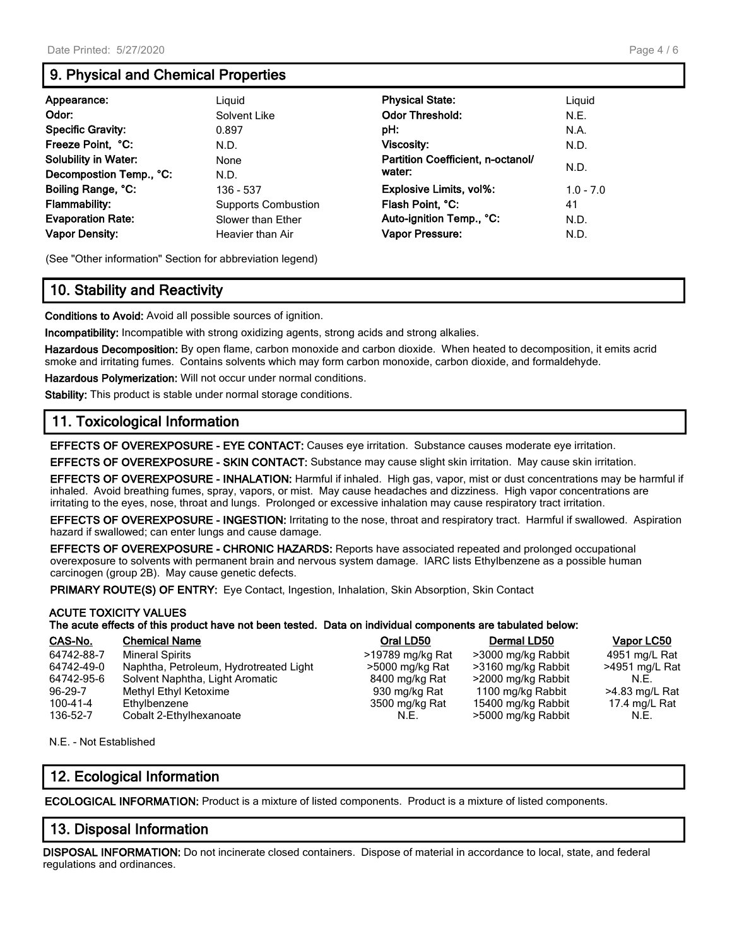## **9. Physical and Chemical Properties**

| Appearance:                 | Liguid                     | <b>Physical State:</b>            | Liguid      |
|-----------------------------|----------------------------|-----------------------------------|-------------|
| Odor:                       | Solvent Like               | <b>Odor Threshold:</b>            | N.E.        |
| <b>Specific Gravity:</b>    | 0.897                      | pH:                               | N.A.        |
| Freeze Point, °C:           | N.D.                       | Viscosity:                        | N.D.        |
| <b>Solubility in Water:</b> | None                       | Partition Coefficient, n-octanol/ |             |
| Decompostion Temp., °C:     | N.D.                       | water:                            | N.D.        |
| Boiling Range, °C:          | 136 - 537                  | Explosive Limits, vol%:           | $1.0 - 7.0$ |
| <b>Flammability:</b>        | <b>Supports Combustion</b> | Flash Point, °C:                  | 41          |
| <b>Evaporation Rate:</b>    | Slower than Ether          | Auto-ignition Temp., °C:          | N.D.        |
| <b>Vapor Density:</b>       | Heavier than Air           | Vapor Pressure:                   | N.D.        |

(See "Other information" Section for abbreviation legend)

## **10. Stability and Reactivity**

**Conditions to Avoid:** Avoid all possible sources of ignition.

**Incompatibility:** Incompatible with strong oxidizing agents, strong acids and strong alkalies.

**Hazardous Decomposition:** By open flame, carbon monoxide and carbon dioxide. When heated to decomposition, it emits acrid smoke and irritating fumes. Contains solvents which may form carbon monoxide, carbon dioxide, and formaldehyde.

**Hazardous Polymerization:** Will not occur under normal conditions.

**Stability:** This product is stable under normal storage conditions.

## **11. Toxicological Information**

**EFFECTS OF OVEREXPOSURE - EYE CONTACT:** Causes eye irritation. Substance causes moderate eye irritation.

**EFFECTS OF OVEREXPOSURE - SKIN CONTACT:** Substance may cause slight skin irritation. May cause skin irritation.

**EFFECTS OF OVEREXPOSURE - INHALATION:** Harmful if inhaled. High gas, vapor, mist or dust concentrations may be harmful if inhaled. Avoid breathing fumes, spray, vapors, or mist. May cause headaches and dizziness. High vapor concentrations are irritating to the eyes, nose, throat and lungs. Prolonged or excessive inhalation may cause respiratory tract irritation.

**EFFECTS OF OVEREXPOSURE - INGESTION:** Irritating to the nose, throat and respiratory tract. Harmful if swallowed. Aspiration hazard if swallowed; can enter lungs and cause damage.

**EFFECTS OF OVEREXPOSURE - CHRONIC HAZARDS:** Reports have associated repeated and prolonged occupational overexposure to solvents with permanent brain and nervous system damage. IARC lists Ethylbenzene as a possible human carcinogen (group 2B). May cause genetic defects.

**PRIMARY ROUTE(S) OF ENTRY:** Eye Contact, Ingestion, Inhalation, Skin Absorption, Skin Contact

#### **ACUTE TOXICITY VALUES The acute effects of this product have not been tested. Data on individual components are tabulated below:**

| CAS-No.    | <b>Chemical Name</b>                   | Oral LD50        | <b>Dermal LD50</b> | Vapor LC50     |
|------------|----------------------------------------|------------------|--------------------|----------------|
| 64742-88-7 | <b>Mineral Spirits</b>                 | >19789 mg/kg Rat | >3000 mg/kg Rabbit | 4951 mg/L Rat  |
| 64742-49-0 | Naphtha, Petroleum, Hydrotreated Light | >5000 mg/kg Rat  | >3160 mg/kg Rabbit | >4951 mg/L Rat |
| 64742-95-6 | Solvent Naphtha, Light Aromatic        | 8400 mg/kg Rat   | >2000 mg/kg Rabbit | N.E.           |
| 96-29-7    | Methyl Ethyl Ketoxime                  | 930 mg/kg Rat    | 1100 mg/kg Rabbit  | >4.83 mg/L Rat |
| 100-41-4   | Ethylbenzene                           | 3500 mg/kg Rat   | 15400 mg/kg Rabbit | 17.4 mg/L Rat  |
| 136-52-7   | Cobalt 2-Ethylhexanoate                | N.E.             | >5000 mg/kg Rabbit | N.E.           |

N.E. - Not Established

## **12. Ecological Information**

**ECOLOGICAL INFORMATION:** Product is a mixture of listed components. Product is a mixture of listed components.

#### **13. Disposal Information**

**DISPOSAL INFORMATION:** Do not incinerate closed containers. Dispose of material in accordance to local, state, and federal regulations and ordinances.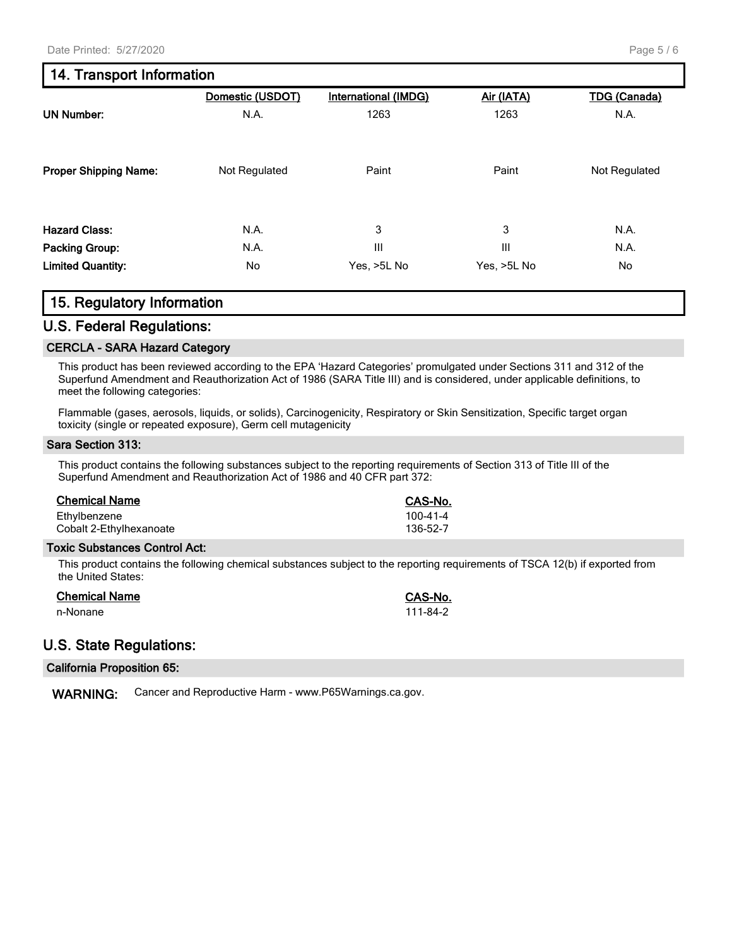## **14. Transport Information**

|                              | Domestic (USDOT) | <b>International (IMDG)</b> | Air (IATA)  | <b>TDG (Canada)</b> |
|------------------------------|------------------|-----------------------------|-------------|---------------------|
| <b>UN Number:</b>            | N.A.             | 1263                        | 1263        | N.A.                |
| <b>Proper Shipping Name:</b> | Not Regulated    | Paint                       | Paint       | Not Regulated       |
| <b>Hazard Class:</b>         | N.A.             | 3                           | 3           | N.A.                |
| <b>Packing Group:</b>        | N.A.             | Ш                           | III         | N.A.                |
| <b>Limited Quantity:</b>     | No               | Yes, >5L No                 | Yes, >5L No | No                  |

## **15. Regulatory Information**

#### **U.S. Federal Regulations:**

#### **CERCLA - SARA Hazard Category**

This product has been reviewed according to the EPA 'Hazard Categories' promulgated under Sections 311 and 312 of the Superfund Amendment and Reauthorization Act of 1986 (SARA Title III) and is considered, under applicable definitions, to meet the following categories:

Flammable (gases, aerosols, liquids, or solids), Carcinogenicity, Respiratory or Skin Sensitization, Specific target organ toxicity (single or repeated exposure), Germ cell mutagenicity

#### **Sara Section 313:**

This product contains the following substances subject to the reporting requirements of Section 313 of Title III of the Superfund Amendment and Reauthorization Act of 1986 and 40 CFR part 372:

| <b>Chemical Name</b>    | <b>CAS-No.</b> |
|-------------------------|----------------|
| Ethylbenzene            | 100-41-4       |
| Cobalt 2-Ethylhexanoate | 136-52-7       |

#### **Toxic Substances Control Act:**

This product contains the following chemical substances subject to the reporting requirements of TSCA 12(b) if exported from the United States:

| <b>Chemical Name</b> | <b>CAS-No.</b> |
|----------------------|----------------|
| n-Nonane             | 111-84-2       |

## **U.S. State Regulations:**

**WARNING:** Cancer and Reproductive Harm - www.P65Warnings.ca.gov.